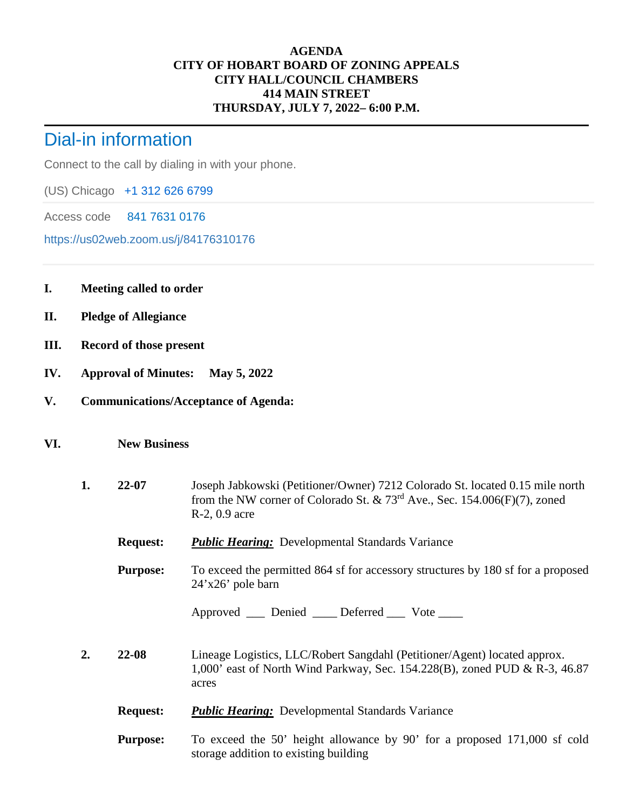## **AGENDA CITY OF HOBART BOARD OF ZONING APPEALS CITY HALL/COUNCIL CHAMBERS 414 MAIN STREET THURSDAY, JULY 7, 2022– 6:00 P.M.**

## Dial-in information

Connect to the call by dialing in with your phone.

(US) Chicago +1 312 626 6799

Access code 841 7631 0176

https://us02web.zoom.us/j/84176310176

- **I. Meeting called to order**
- **II. Pledge of Allegiance**
- **III. Record of those present**
- **IV. Approval of Minutes: May 5, 2022**
- **V. Communications/Acceptance of Agenda:**

## **VI. New Business**

- **1. 22-07** Joseph Jabkowski (Petitioner/Owner) 7212 Colorado St. located 0.15 mile north from the NW corner of Colorado St. & 73rd Ave., Sec. 154.006(F)(7), zoned R-2, 0.9 acre
	- **Request:** *Public Hearing:* Developmental Standards Variance

**Purpose:** To exceed the permitted 864 sf for accessory structures by 180 sf for a proposed 24'x26' pole barn

Approved Denied Deferred Vote

- **2. 22-08** Lineage Logistics, LLC/Robert Sangdahl (Petitioner/Agent) located approx. 1,000' east of North Wind Parkway, Sec. 154.228(B), zoned PUD & R-3, 46.87 acres
	- **Request:** *Public Hearing:* Developmental Standards Variance
	- **Purpose:** To exceed the 50' height allowance by 90' for a proposed 171,000 sf cold storage addition to existing building